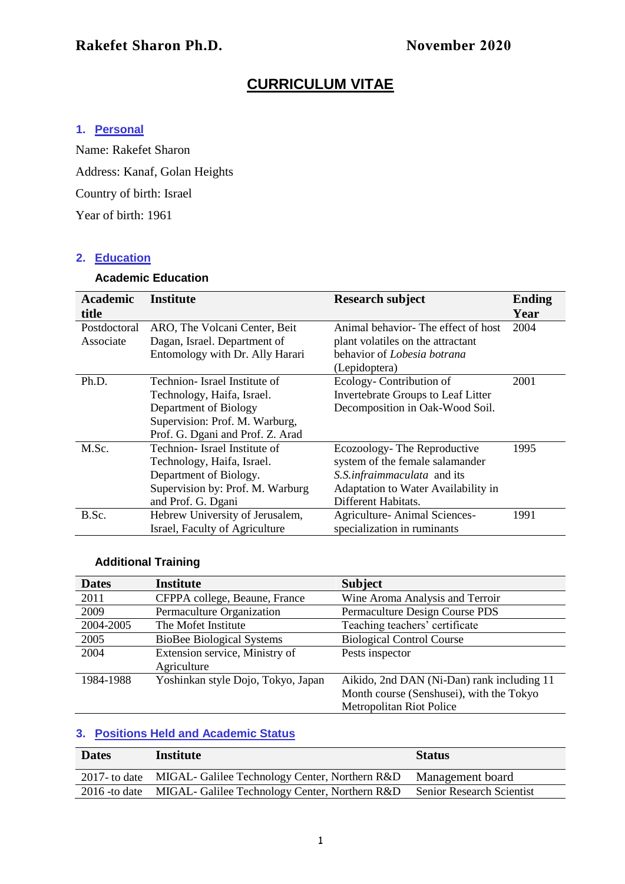## **CURRICULUM VITAE**

## **1. Personal**

Name: Rakefet Sharon Address: Kanaf, Golan Heights Country of birth: Israel Year of birth: 1961

#### **2. Education**

## **Academic Education**

| <b>Academic</b> | Institute                        | <b>Research subject</b>             | <b>Ending</b> |
|-----------------|----------------------------------|-------------------------------------|---------------|
| title           |                                  |                                     | Year          |
| Postdoctoral    | ARO, The Volcani Center, Beit    | Animal behavior-The effect of host  | 2004          |
| Associate       | Dagan, Israel. Department of     | plant volatiles on the attractant   |               |
|                 | Entomology with Dr. Ally Harari  | behavior of Lobesia botrana         |               |
|                 |                                  | (Lepidoptera)                       |               |
| Ph.D.           | Technion-Israel Institute of     | Ecology-Contribution of             | 2001          |
|                 | Technology, Haifa, Israel.       | Invertebrate Groups to Leaf Litter  |               |
|                 | Department of Biology            | Decomposition in Oak-Wood Soil.     |               |
|                 | Supervision: Prof. M. Warburg,   |                                     |               |
|                 | Prof. G. Dgani and Prof. Z. Arad |                                     |               |
| M.Sc.           | Technion- Israel Institute of    | Ecozoology-The Reproductive         | 1995          |
|                 | Technology, Haifa, Israel.       | system of the female salamander     |               |
|                 | Department of Biology.           | S.S.infraimmaculata and its         |               |
|                 | Supervision by: Prof. M. Warburg | Adaptation to Water Availability in |               |
|                 | and Prof. G. Dgani               | Different Habitats.                 |               |
| B.Sc.           | Hebrew University of Jerusalem,  | Agriculture-Animal Sciences-        | 1991          |
|                 | Israel, Faculty of Agriculture   | specialization in ruminants         |               |

## **Additional Training**

| <b>Dates</b> | <b>Institute</b>                   | <b>Subject</b>                             |
|--------------|------------------------------------|--------------------------------------------|
| 2011         | CFPPA college, Beaune, France      | Wine Aroma Analysis and Terroir            |
| 2009         | Permaculture Organization          | Permaculture Design Course PDS             |
| 2004-2005    | The Mofet Institute                | Teaching teachers' certificate             |
| 2005         | <b>BioBee Biological Systems</b>   | <b>Biological Control Course</b>           |
| 2004         | Extension service, Ministry of     | Pests inspector                            |
|              | Agriculture                        |                                            |
| 1984-1988    | Yoshinkan style Dojo, Tokyo, Japan | Aikido, 2nd DAN (Ni-Dan) rank including 11 |
|              |                                    | Month course (Senshusei), with the Tokyo   |
|              |                                    | <b>Metropolitan Riot Police</b>            |

## **3. Positions Held and Academic Status**

| <b>Dates</b> | Institute                                                      | <b>Status</b>                    |
|--------------|----------------------------------------------------------------|----------------------------------|
|              | 2017- to date MIGAL-Galilee Technology Center, Northern R&D    | Management board                 |
|              | 2016 - to date MIGAL - Galilee Technology Center, Northern R&D | <b>Senior Research Scientist</b> |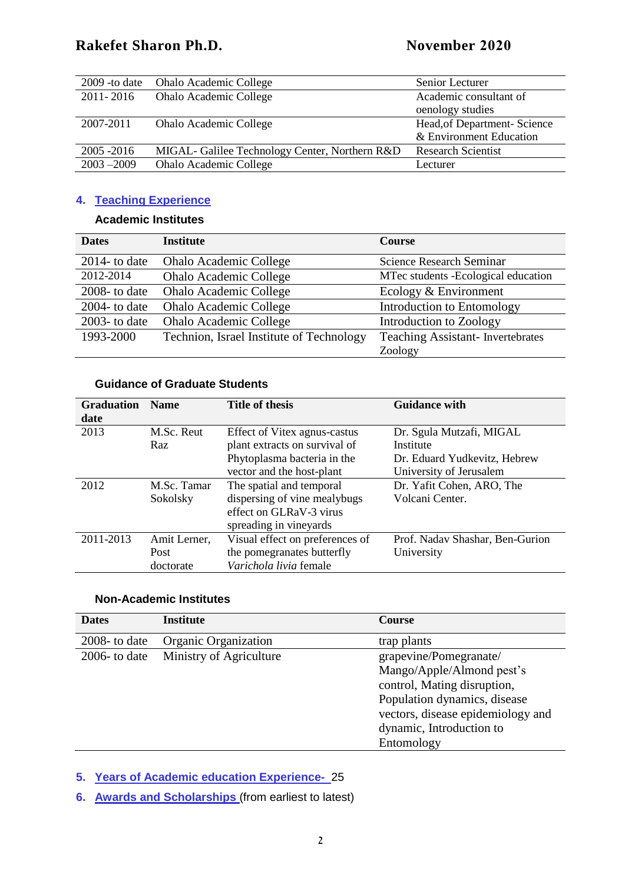| $2009 - to date$ | <b>Ohalo Academic College</b>                  | Senior Lecturer              |
|------------------|------------------------------------------------|------------------------------|
| 2011-2016        | Ohalo Academic College                         | Academic consultant of       |
|                  |                                                | oenology studies             |
| 2007-2011        | <b>Ohalo Academic College</b>                  | Head, of Department- Science |
|                  |                                                | & Environment Education      |
| 2005 - 2016      | MIGAL- Galilee Technology Center, Northern R&D | <b>Research Scientist</b>    |
| $2003 - 2009$    | <b>Ohalo Academic College</b>                  | Lecturer                     |

## **4. Teaching Experience**

#### **Academic Institutes**

| <b>Dates</b>     | <b>Institute</b>                         | <b>Course</b>                           |
|------------------|------------------------------------------|-----------------------------------------|
| $2014$ - to date | <b>Ohalo Academic College</b>            | <b>Science Research Seminar</b>         |
| 2012-2014        | <b>Ohalo Academic College</b>            | MTec students -Ecological education     |
| $2008 -$ to date | <b>Ohalo Academic College</b>            | Ecology & Environment                   |
| $2004 -$ to date | <b>Ohalo Academic College</b>            | Introduction to Entomology              |
| $2003$ - to date | <b>Ohalo Academic College</b>            | Introduction to Zoology                 |
| 1993-2000        | Technion, Israel Institute of Technology | <b>Teaching Assistant-Invertebrates</b> |
|                  |                                          | Zoology                                 |

#### **Guidance of Graduate Students**

| <b>Graduation</b> | <b>Name</b>  | <b>Title of thesis</b>          | <b>Guidance with</b>            |
|-------------------|--------------|---------------------------------|---------------------------------|
| date              |              |                                 |                                 |
| 2013              | M.Sc. Reut   | Effect of Vitex agnus-castus    | Dr. Sgula Mutzafi, MIGAL        |
|                   | Raz          | plant extracts on survival of   | Institute                       |
|                   |              | Phytoplasma bacteria in the     | Dr. Eduard Yudkevitz, Hebrew    |
|                   |              | vector and the host-plant       | University of Jerusalem         |
| 2012              | M.Sc. Tamar  | The spatial and temporal        | Dr. Yafit Cohen, ARO, The       |
|                   | Sokolsky     | dispersing of vine mealybugs    | Volcani Center.                 |
|                   |              | effect on GLRaV-3 virus         |                                 |
|                   |              | spreading in vineyards          |                                 |
| 2011-2013         | Amit Lerner, | Visual effect on preferences of | Prof. Nadav Shashar, Ben-Gurion |
|                   | Post         | the pomegranates butterfly      | University                      |
|                   | doctorate    | Varichola livia female          |                                 |

#### **Non-Academic Institutes**

| <b>Dates</b>     | <b>Institute</b>        | <b>Course</b>                     |
|------------------|-------------------------|-----------------------------------|
| $2008 -$ to date | Organic Organization    | trap plants                       |
| $2006$ - to date | Ministry of Agriculture | grapevine/Pomegranate/            |
|                  |                         | Mango/Apple/Almond pest's         |
|                  |                         | control, Mating disruption,       |
|                  |                         | Population dynamics, disease      |
|                  |                         | vectors, disease epidemiology and |
|                  |                         | dynamic, Introduction to          |
|                  |                         | Entomology                        |

**5. Years of Academic education Experience-** 25

**6. Awards and Scholarships** (from earliest to latest)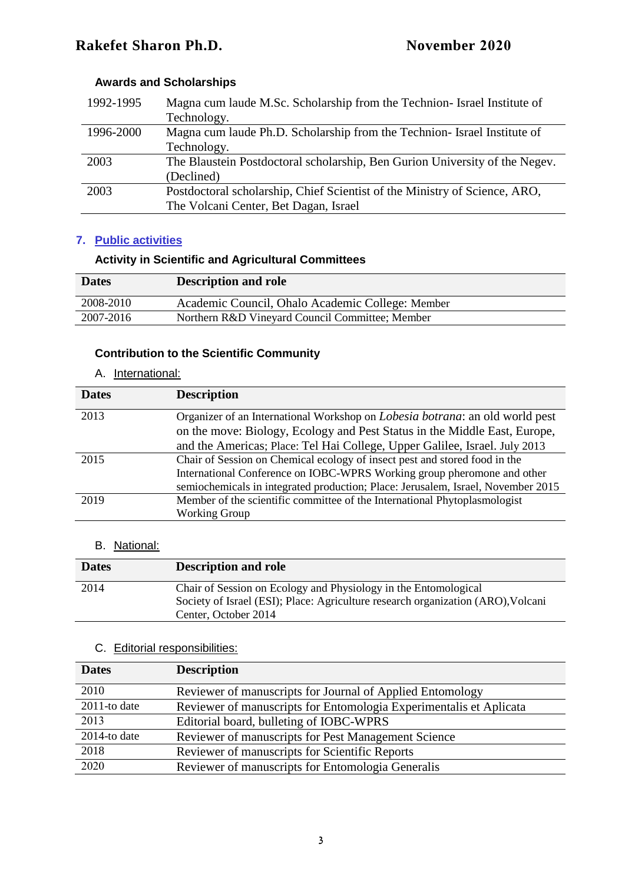## **Awards and Scholarships**

| 1992-1995 | Magna cum laude M.Sc. Scholarship from the Technion- Israel Institute of    |
|-----------|-----------------------------------------------------------------------------|
|           | Technology.                                                                 |
| 1996-2000 | Magna cum laude Ph.D. Scholarship from the Technion- Israel Institute of    |
|           | Technology.                                                                 |
| 2003      | The Blaustein Postdoctoral scholarship, Ben Gurion University of the Negev. |
|           | (Declined)                                                                  |
| 2003      | Postdoctoral scholarship, Chief Scientist of the Ministry of Science, ARO,  |
|           | The Volcani Center, Bet Dagan, Israel                                       |

## **7. Public activities**

## **Activity in Scientific and Agricultural Committees**

| <b>Dates</b> | <b>Description and role</b>                      |
|--------------|--------------------------------------------------|
| 2008-2010    | Academic Council, Ohalo Academic College: Member |
| 2007-2016    | Northern R&D Vineyard Council Committee; Member  |

## **Contribution to the Scientific Community**

#### A. International:

| <b>Dates</b> | <b>Description</b>                                                                                                                                                |
|--------------|-------------------------------------------------------------------------------------------------------------------------------------------------------------------|
| 2013         | Organizer of an International Workshop on <i>Lobesia botrana</i> : an old world pest<br>on the move: Biology, Ecology and Pest Status in the Middle East, Europe, |
|              | and the Americas; Place: Tel Hai College, Upper Galilee, Israel. July 2013                                                                                        |
| 2015         | Chair of Session on Chemical ecology of insect pest and stored food in the                                                                                        |
|              |                                                                                                                                                                   |
|              | semiochemicals in integrated production; Place: Jerusalem, Israel, November 2015                                                                                  |
| 2019         | Member of the scientific committee of the International Phytoplasmologist                                                                                         |
|              | <b>Working Group</b>                                                                                                                                              |
|              | International Conference on IOBC-WPRS Working group pheromone and other                                                                                           |

## B. National:

| <b>Dates</b> | <b>Description and role</b>                                                                                                                                                 |
|--------------|-----------------------------------------------------------------------------------------------------------------------------------------------------------------------------|
| 2014         | Chair of Session on Ecology and Physiology in the Entomological<br>Society of Israel (ESI); Place: Agriculture research organization (ARO), Volcani<br>Center, October 2014 |

## C. Editorial responsibilities:

| <b>Dates</b>               | <b>Description</b>                                                 |
|----------------------------|--------------------------------------------------------------------|
| 2010                       | Reviewer of manuscripts for Journal of Applied Entomology          |
| $\overline{201}$ 1-to date | Reviewer of manuscripts for Entomologia Experimentalis et Aplicata |
| 2013                       | Editorial board, bulleting of IOBC-WPRS                            |
| 2014-to date               | Reviewer of manuscripts for Pest Management Science                |
| 2018                       | Reviewer of manuscripts for Scientific Reports                     |
| 2020                       | Reviewer of manuscripts for Entomologia Generalis                  |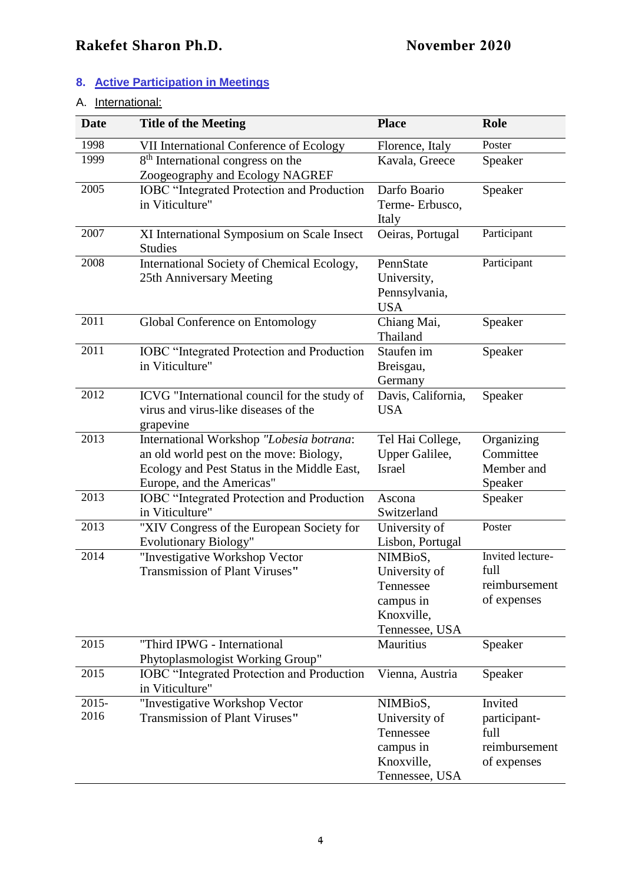## **8. Active Participation in Meetings**

## A. International:

| <b>Date</b>      | <b>Title of the Meeting</b>                                                                                                                                     | <b>Place</b>                                                                        | <b>Role</b>                                                     |
|------------------|-----------------------------------------------------------------------------------------------------------------------------------------------------------------|-------------------------------------------------------------------------------------|-----------------------------------------------------------------|
| 1998             | VII International Conference of Ecology                                                                                                                         | Florence, Italy                                                                     | Poster                                                          |
| 1999             | 8 <sup>th</sup> International congress on the<br>Zoogeography and Ecology NAGREF                                                                                | Kavala, Greece                                                                      | Speaker                                                         |
| 2005             | <b>IOBC</b> "Integrated Protection and Production<br>in Viticulture"                                                                                            | Darfo Boario<br>Terme-Erbusco,<br>Italy                                             | Speaker                                                         |
| 2007             | XI International Symposium on Scale Insect<br><b>Studies</b>                                                                                                    | Oeiras, Portugal                                                                    | Participant                                                     |
| 2008             | International Society of Chemical Ecology,<br>25th Anniversary Meeting                                                                                          | PennState<br>University,<br>Pennsylvania,<br><b>USA</b>                             | Participant                                                     |
| 2011             | Global Conference on Entomology                                                                                                                                 | Chiang Mai,<br>Thailand                                                             | Speaker                                                         |
| 2011             | <b>IOBC</b> "Integrated Protection and Production<br>in Viticulture"                                                                                            | Staufen im<br>Breisgau,<br>Germany                                                  | Speaker                                                         |
| 2012             | ICVG "International council for the study of<br>virus and virus-like diseases of the<br>grapevine                                                               | Davis, California,<br><b>USA</b>                                                    | Speaker                                                         |
| 2013             | International Workshop "Lobesia botrana:<br>an old world pest on the move: Biology,<br>Ecology and Pest Status in the Middle East,<br>Europe, and the Americas" | Tel Hai College,<br>Upper Galilee,<br><b>Israel</b>                                 | Organizing<br>Committee<br>Member and<br>Speaker                |
| 2013             | <b>IOBC</b> "Integrated Protection and Production<br>in Viticulture"                                                                                            | Ascona<br>Switzerland                                                               | Speaker                                                         |
| 2013             | "XIV Congress of the European Society for<br>Evolutionary Biology"                                                                                              | University of<br>Lisbon, Portugal                                                   | Poster                                                          |
| 2014             | "Investigative Workshop Vector<br>Transmission of Plant Viruses"                                                                                                | NIMBioS,<br>University of<br>Tennessee<br>campus in<br>Knoxville,<br>Tennessee, USA | Invited lecture-<br>full<br>reimbursement<br>of expenses        |
| 2015             | "Third IPWG - International<br>Phytoplasmologist Working Group"                                                                                                 | Mauritius                                                                           | Speaker                                                         |
| 2015             | <b>IOBC</b> "Integrated Protection and Production<br>in Viticulture"                                                                                            | Vienna, Austria                                                                     | Speaker                                                         |
| $2015 -$<br>2016 | "Investigative Workshop Vector<br>Transmission of Plant Viruses"                                                                                                | NIMBioS,<br>University of<br>Tennessee<br>campus in<br>Knoxville,<br>Tennessee, USA | Invited<br>participant-<br>full<br>reimbursement<br>of expenses |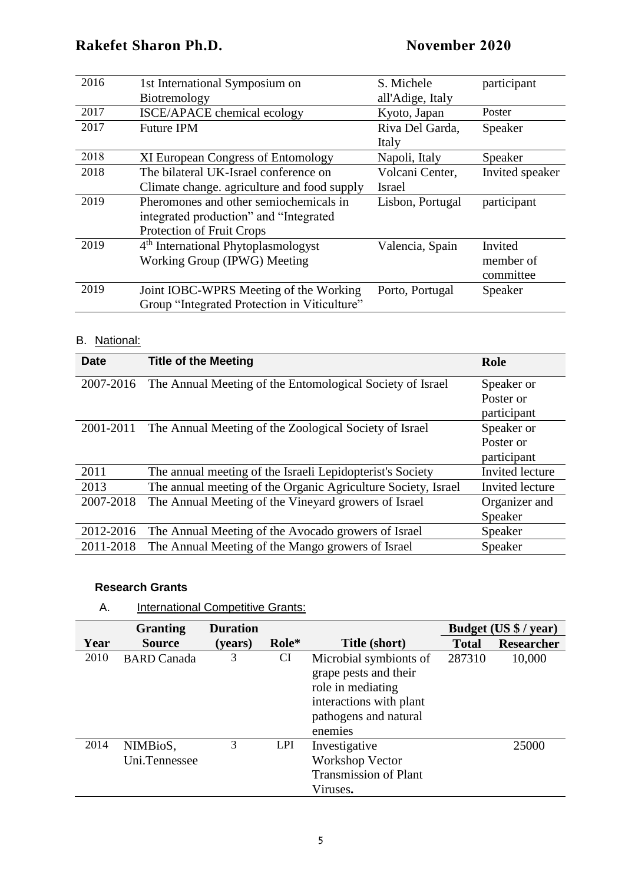| 2016 | 1st International Symposium on                  | S. Michele       | participant     |
|------|-------------------------------------------------|------------------|-----------------|
|      | Biotremology                                    | all'Adige, Italy |                 |
| 2017 | <b>ISCE/APACE</b> chemical ecology              | Kyoto, Japan     | Poster          |
| 2017 | <b>Future IPM</b>                               | Riva Del Garda,  | Speaker         |
|      |                                                 | Italy            |                 |
| 2018 | XI European Congress of Entomology              | Napoli, Italy    | Speaker         |
| 2018 | The bilateral UK-Israel conference on           | Volcani Center,  | Invited speaker |
|      | Climate change. agriculture and food supply     | <b>Israel</b>    |                 |
| 2019 | Pheromones and other semiochemicals in          | Lisbon, Portugal | participant     |
|      | integrated production" and "Integrated          |                  |                 |
|      | Protection of Fruit Crops                       |                  |                 |
| 2019 | 4 <sup>th</sup> International Phytoplasmologyst | Valencia, Spain  | Invited         |
|      | Working Group (IPWG) Meeting                    |                  | member of       |
|      |                                                 |                  | committee       |
| 2019 | Joint IOBC-WPRS Meeting of the Working          | Porto, Portugal  | Speaker         |
|      | Group "Integrated Protection in Viticulture"    |                  |                 |

## B. National:

| <b>Date</b> | <b>Title of the Meeting</b>                                   | Role            |
|-------------|---------------------------------------------------------------|-----------------|
| 2007-2016   | The Annual Meeting of the Entomological Society of Israel     | Speaker or      |
|             |                                                               | Poster or       |
|             |                                                               | participant     |
| 2001-2011   | The Annual Meeting of the Zoological Society of Israel        | Speaker or      |
|             |                                                               | Poster or       |
|             |                                                               | participant     |
| 2011        | The annual meeting of the Israeli Lepidopterist's Society     | Invited lecture |
| 2013        | The annual meeting of the Organic Agriculture Society, Israel | Invited lecture |
| 2007-2018   | The Annual Meeting of the Vineyard growers of Israel          | Organizer and   |
|             |                                                               | Speaker         |
| 2012-2016   | The Annual Meeting of the Avocado growers of Israel           | Speaker         |
| 2011-2018   | The Annual Meeting of the Mango growers of Israel             | Speaker         |

#### **Research Grants**

| International Competitive Grants:<br>A. |
|-----------------------------------------|
|-----------------------------------------|

|      | <b>Granting</b>           | <b>Duration</b> |            |                                                                                                                                     |              | Budget (US \$ / year) |
|------|---------------------------|-----------------|------------|-------------------------------------------------------------------------------------------------------------------------------------|--------------|-----------------------|
| Year | <b>Source</b>             | (years)         | Role*      | Title (short)                                                                                                                       | <b>Total</b> | <b>Researcher</b>     |
| 2010 | <b>BARD</b> Canada        | 3               | <b>CI</b>  | Microbial symbionts of<br>grape pests and their<br>role in mediating<br>interactions with plant<br>pathogens and natural<br>enemies | 287310       | 10,000                |
| 2014 | NIMBioS,<br>Uni.Tennessee | 3               | <b>LPI</b> | Investigative<br><b>Workshop Vector</b><br><b>Transmission of Plant</b><br>Viruses.                                                 |              | 25000                 |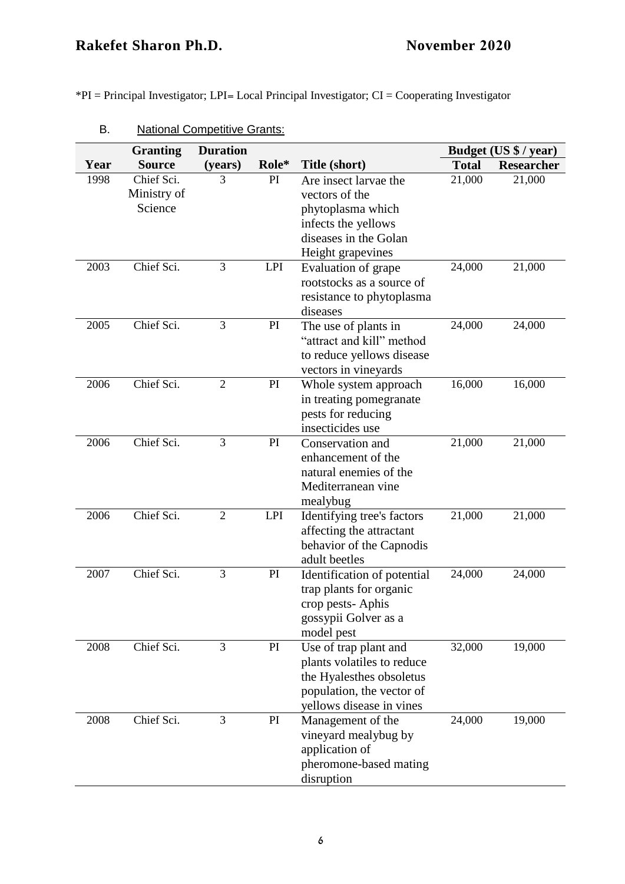\*PI = Principal Investigator; LPI= Local Principal Investigator; CI = Cooperating Investigator

|      | <b>Granting</b>                      | <b>Duration</b> |            |                                                                                                                                          |              | Budget (US \$ / year) |
|------|--------------------------------------|-----------------|------------|------------------------------------------------------------------------------------------------------------------------------------------|--------------|-----------------------|
| Year | <b>Source</b>                        | (years)         | Role*      | Title (short)                                                                                                                            | <b>Total</b> | <b>Researcher</b>     |
| 1998 | Chief Sci.<br>Ministry of<br>Science | 3               | PI         | Are insect larvae the<br>vectors of the<br>phytoplasma which<br>infects the yellows<br>diseases in the Golan<br>Height grapevines        | 21,000       | 21,000                |
| 2003 | Chief Sci.                           | 3               | <b>LPI</b> | Evaluation of grape<br>rootstocks as a source of<br>resistance to phytoplasma<br>diseases                                                | 24,000       | 21,000                |
| 2005 | Chief Sci.                           | 3               | PI         | The use of plants in<br>"attract and kill" method<br>to reduce yellows disease<br>vectors in vineyards                                   | 24,000       | 24,000                |
| 2006 | Chief Sci.                           | $\overline{2}$  | PI         | Whole system approach<br>in treating pomegranate<br>pests for reducing<br>insecticides use                                               | 16,000       | 16,000                |
| 2006 | Chief Sci.                           | 3               | PI         | Conservation and<br>enhancement of the<br>natural enemies of the<br>Mediterranean vine<br>mealybug                                       | 21,000       | 21,000                |
| 2006 | Chief Sci.                           | $\mathfrak{2}$  | <b>LPI</b> | Identifying tree's factors<br>affecting the attractant<br>behavior of the Capnodis<br>adult beetles                                      | 21,000       | 21,000                |
| 2007 | Chief Sci.                           | 3               | PI         | Identification of potential<br>trap plants for organic<br>crop pests-Aphis<br>gossypii Golver as a<br>model pest                         | 24,000       | 24,000                |
| 2008 | Chief Sci.                           | 3               | PI         | Use of trap plant and<br>plants volatiles to reduce<br>the Hyalesthes obsoletus<br>population, the vector of<br>yellows disease in vines | 32,000       | 19,000                |
| 2008 | Chief Sci.                           | 3               | PI         | Management of the<br>vineyard mealybug by<br>application of<br>pheromone-based mating<br>disruption                                      | 24,000       | 19,000                |

B. National Competitive Grants: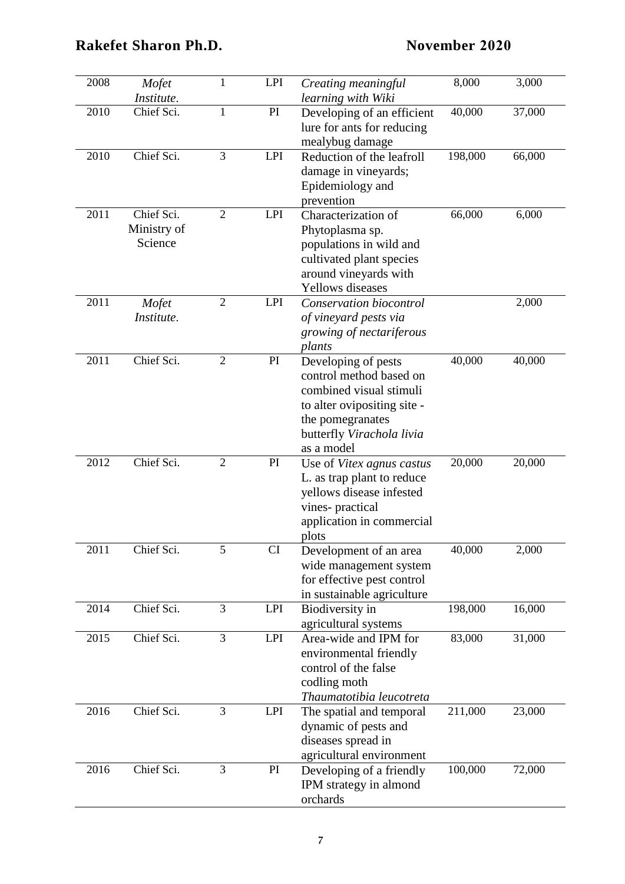| 2008 | Mofet<br>Institute.                  | $\mathbf{1}$   | <b>LPI</b> | Creating meaningful<br>learning with Wiki                                                                                                                               | 8,000   | 3,000  |
|------|--------------------------------------|----------------|------------|-------------------------------------------------------------------------------------------------------------------------------------------------------------------------|---------|--------|
| 2010 | Chief Sci.                           | $\mathbf{1}$   | PI         | Developing of an efficient<br>lure for ants for reducing<br>mealybug damage                                                                                             | 40,000  | 37,000 |
| 2010 | Chief Sci.                           | 3              | <b>LPI</b> | Reduction of the leafroll<br>damage in vineyards;<br>Epidemiology and<br>prevention                                                                                     | 198,000 | 66,000 |
| 2011 | Chief Sci.<br>Ministry of<br>Science | $\overline{2}$ | <b>LPI</b> | Characterization of<br>Phytoplasma sp.<br>populations in wild and<br>cultivated plant species<br>around vineyards with<br><b>Yellows</b> diseases                       | 66,000  | 6,000  |
| 2011 | Mofet<br>Institute.                  | $\overline{2}$ | <b>LPI</b> | Conservation biocontrol<br>of vineyard pests via<br>growing of nectariferous<br>plants                                                                                  |         | 2,000  |
| 2011 | Chief Sci.                           | $\overline{2}$ | PI         | Developing of pests<br>control method based on<br>combined visual stimuli<br>to alter ovipositing site -<br>the pomegranates<br>butterfly Virachola livia<br>as a model | 40,000  | 40,000 |
| 2012 | Chief Sci.                           | $\overline{2}$ | PI         | Use of Vitex agnus castus<br>L. as trap plant to reduce<br>yellows disease infested<br>vines-practical<br>application in commercial<br>plots                            | 20,000  | 20,000 |
| 2011 | Chief Sci.                           | 5              | CI         | Development of an area<br>wide management system<br>for effective pest control<br>in sustainable agriculture                                                            | 40,000  | 2,000  |
| 2014 | Chief Sci.                           | 3              | LPI        | Biodiversity in<br>agricultural systems                                                                                                                                 | 198,000 | 16,000 |
| 2015 | Chief Sci.                           | 3              | <b>LPI</b> | Area-wide and IPM for<br>environmental friendly<br>control of the false<br>codling moth<br>Thaumatotibia leucotreta                                                     | 83,000  | 31,000 |
| 2016 | Chief Sci.                           | 3              | LPI        | The spatial and temporal<br>dynamic of pests and<br>diseases spread in<br>agricultural environment                                                                      | 211,000 | 23,000 |
| 2016 | Chief Sci.                           | 3              | PI         | Developing of a friendly<br>IPM strategy in almond<br>orchards                                                                                                          | 100,000 | 72,000 |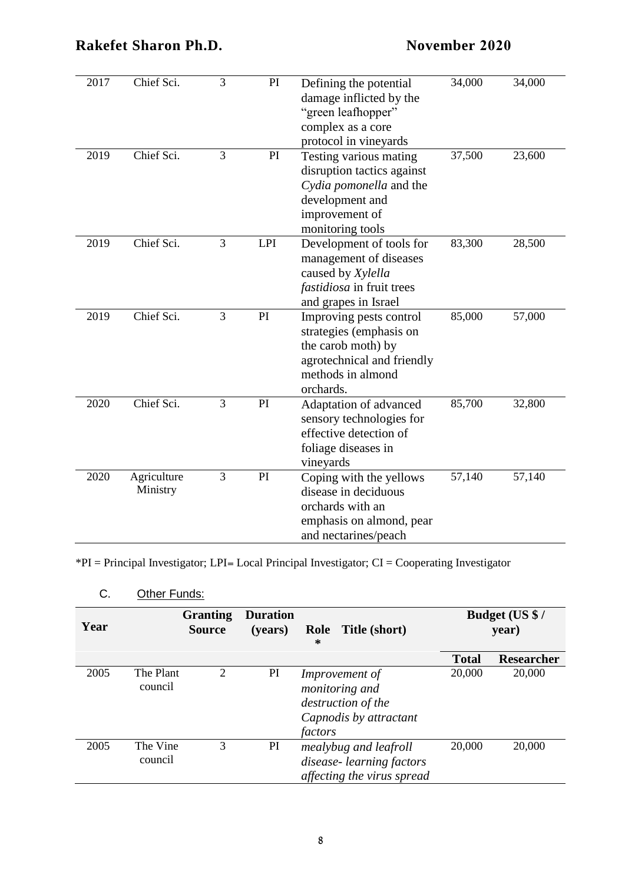## **Rakefet Sharon Ph.D.**

|      |                         |   |    | effective detection of<br>foliage diseases in<br>vineyards                                                              |        |        |
|------|-------------------------|---|----|-------------------------------------------------------------------------------------------------------------------------|--------|--------|
| 2020 | Agriculture<br>Ministry | 3 | PI | Coping with the yellows<br>disease in deciduous<br>orchards with an<br>emphasis on almond, pear<br>and nectarines/peach | 57,140 | 57,140 |

\*PI = Principal Investigator; LPI= Local Principal Investigator; CI = Cooperating Investigator

## C. Other Funds:

| Year |                      | <b>Granting</b><br><b>Duration</b><br>Role Title (short)<br><b>Source</b><br>(years)<br>∗ |    |                                                                                             | Budget (US \$/<br>year) |                   |
|------|----------------------|-------------------------------------------------------------------------------------------|----|---------------------------------------------------------------------------------------------|-------------------------|-------------------|
|      |                      |                                                                                           |    |                                                                                             | <b>Total</b>            | <b>Researcher</b> |
| 2005 | The Plant<br>council | 2                                                                                         | PI | Improvement of<br>monitoring and<br>destruction of the<br>Capnodis by attractant<br>factors | 20,000                  | 20,000            |
| 2005 | The Vine<br>council  | 3                                                                                         | PI | mealybug and leafroll<br>disease-learning factors<br>affecting the virus spread             | 20,000                  | 20,000            |

2017 Chief Sci. 3 PI Defining the potential

2019 Chief Sci. 3 PI Testing various mating

2019 Chief Sci. 3 LPI Development of tools for

2019 Chief Sci. 3 PI Improving pests control

2020 Chief Sci. 3 PI Adaptation of advanced

| <b>November 2020</b> |  |
|----------------------|--|
|----------------------|--|

34,000 34,000

37,500 23,600

83,300 28,500

85,000 57,000

85,700 32,800

damage inflicted by the "green leafhopper" complex as a core protocol in vineyards

disruption tactics against *Cydia pomonella* and the

management of diseases

strategies (emphasis on the carob moth) by

methods in almond

orchards.

agrotechnical and friendly

sensory technologies for

development and improvement of monitoring tools

caused by *Xylella fastidiosa* in fruit trees and grapes in Israel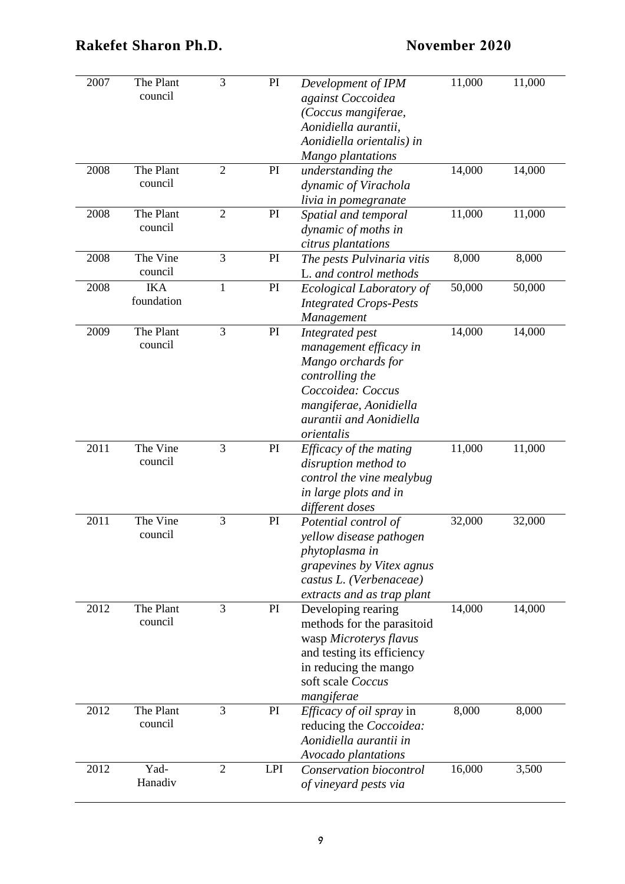| 2007 | The Plant<br>council     | 3              | PI         | Development of IPM<br>against Coccoidea<br>(Coccus mangiferae,<br>Aonidiella aurantii,<br>Aonidiella orientalis) in                                                        | 11,000 | 11,000 |
|------|--------------------------|----------------|------------|----------------------------------------------------------------------------------------------------------------------------------------------------------------------------|--------|--------|
|      |                          |                |            | Mango plantations                                                                                                                                                          |        |        |
| 2008 | The Plant<br>council     | $\overline{2}$ | PI         | understanding the<br>dynamic of Virachola<br>livia in pomegranate                                                                                                          | 14,000 | 14,000 |
| 2008 | The Plant<br>council     | $\mathbf{2}$   | PI         | Spatial and temporal<br>dynamic of moths in<br>citrus plantations                                                                                                          | 11,000 | 11,000 |
| 2008 | The Vine<br>council      | 3              | PI         | The pests Pulvinaria vitis<br>L. and control methods                                                                                                                       | 8,000  | 8,000  |
| 2008 | <b>IKA</b><br>foundation | $\mathbf{1}$   | PI         | Ecological Laboratory of<br><b>Integrated Crops-Pests</b><br>Management                                                                                                    | 50,000 | 50,000 |
| 2009 | The Plant<br>council     | 3              | PI         | Integrated pest<br>management efficacy in<br>Mango orchards for<br>controlling the<br>Coccoidea: Coccus<br>mangiferae, Aonidiella<br>aurantii and Aonidiella<br>orientalis | 14,000 | 14,000 |
| 2011 | The Vine<br>council      | 3              | PI         | Efficacy of the mating<br>disruption method to<br>control the vine mealybug<br>in large plots and in<br>different doses                                                    | 11,000 | 11,000 |
| 2011 | The Vine<br>council      | 3              | PI         | Potential control of<br>yellow disease pathogen<br>phytoplasma in<br>grapevines by Vitex agnus<br>castus L. (Verbenaceae)<br>extracts and as trap plant                    | 32,000 | 32,000 |
| 2012 | The Plant<br>council     | 3              | PI         | Developing rearing<br>methods for the parasitoid<br>wasp Microterys flavus<br>and testing its efficiency<br>in reducing the mango<br>soft scale Coccus<br>mangiferae       | 14,000 | 14,000 |
| 2012 | The Plant<br>council     | 3              | PI         | <i>Efficacy of oil spray</i> in<br>reducing the Coccoidea:<br>Aonidiella aurantii in<br>Avocado plantations                                                                | 8,000  | 8,000  |
| 2012 | Yad-<br>Hanadiv          | $\overline{2}$ | <b>LPI</b> | Conservation biocontrol<br>of vineyard pests via                                                                                                                           | 16,000 | 3,500  |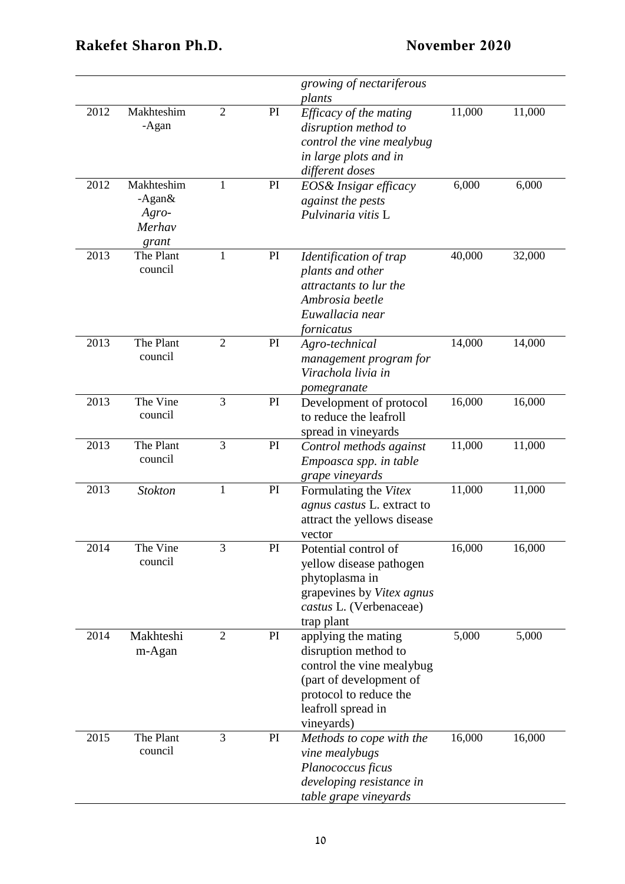|      |                                                    |                |    | growing of nectariferous<br>plants                                                                                                                                |        |        |
|------|----------------------------------------------------|----------------|----|-------------------------------------------------------------------------------------------------------------------------------------------------------------------|--------|--------|
| 2012 | Makhteshim<br>-Agan                                | $\overline{2}$ | PI | Efficacy of the mating<br>disruption method to<br>control the vine mealybug<br>in large plots and in<br>different doses                                           | 11,000 | 11,000 |
| 2012 | Makhteshim<br>$-Agan&$<br>Agro-<br>Merhav<br>grant | 1              | PI | EOS& Insigar efficacy<br>against the pests<br>Pulvinaria vitis L                                                                                                  | 6,000  | 6,000  |
| 2013 | The Plant<br>council                               | $\mathbf{1}$   | PI | Identification of trap<br>plants and other<br>attractants to lur the<br>Ambrosia beetle<br>Euwallacia near<br>fornicatus                                          | 40,000 | 32,000 |
| 2013 | The Plant<br>council                               | $\overline{2}$ | PI | Agro-technical<br>management program for<br>Virachola livia in<br>pomegranate                                                                                     | 14,000 | 14,000 |
| 2013 | The Vine<br>council                                | 3              | PI | Development of protocol<br>to reduce the leafroll<br>spread in vineyards                                                                                          | 16,000 | 16,000 |
| 2013 | The Plant<br>council                               | 3              | PI | Control methods against<br>Empoasca spp. in table<br>grape vineyards                                                                                              | 11,000 | 11,000 |
| 2013 | <b>Stokton</b>                                     | $\mathbf{1}$   | PI | Formulating the Vitex<br>agnus castus L. extract to<br>attract the yellows disease<br>vector                                                                      | 11,000 | 11,000 |
| 2014 | The Vine<br>council                                | 3              | PI | Potential control of<br>yellow disease pathogen<br>phytoplasma in<br>grapevines by Vitex agnus<br>castus L. (Verbenaceae)<br>trap plant                           | 16,000 | 16,000 |
| 2014 | Makhteshi<br>m-Agan                                | $\overline{2}$ | PI | applying the mating<br>disruption method to<br>control the vine mealybug<br>(part of development of<br>protocol to reduce the<br>leafroll spread in<br>vineyards) | 5,000  | 5,000  |
| 2015 | The Plant<br>council                               | 3              | PI | Methods to cope with the<br>vine mealybugs<br>Planococcus ficus<br>developing resistance in<br>table grape vineyards                                              | 16,000 | 16,000 |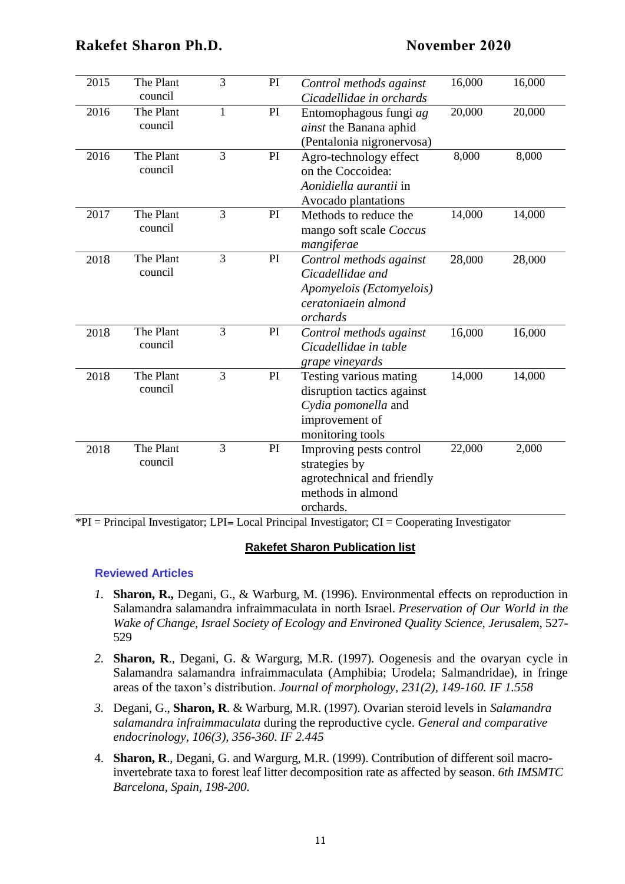| 2015 | The Plant<br>council | 3            | PI            | Control methods against<br>Cicadellidae in orchards                                                               | 16,000 | 16,000 |
|------|----------------------|--------------|---------------|-------------------------------------------------------------------------------------------------------------------|--------|--------|
| 2016 | The Plant<br>council | $\mathbf{1}$ | PI            | Entomophagous fungi ag<br>ainst the Banana aphid<br>(Pentalonia nigronervosa)                                     | 20,000 | 20,000 |
| 2016 | The Plant<br>council | 3            | PI            | Agro-technology effect<br>on the Coccoidea:<br>Aonidiella aurantii in<br>Avocado plantations                      | 8,000  | 8,000  |
| 2017 | The Plant<br>council | 3            | PI            | Methods to reduce the<br>mango soft scale Coccus<br>mangiferae                                                    | 14,000 | 14,000 |
| 2018 | The Plant<br>council | 3            | PI            | Control methods against<br>Cicadellidae and<br>Apomyelois (Ectomyelois)<br>ceratoniaein almond<br>orchards        | 28,000 | 28,000 |
| 2018 | The Plant<br>council | 3            | PI            | Control methods against<br>Cicadellidae in table<br>grape vineyards                                               | 16,000 | 16,000 |
| 2018 | The Plant<br>council | 3            | $\mathbf{PI}$ | Testing various mating<br>disruption tactics against<br>Cydia pomonella and<br>improvement of<br>monitoring tools | 14,000 | 14,000 |
| 2018 | The Plant<br>council | 3            | PI            | Improving pests control<br>strategies by<br>agrotechnical and friendly<br>methods in almond<br>orchards.          | 22,000 | 2,000  |

\*PI = Principal Investigator; LPI= Local Principal Investigator; CI = Cooperating Investigator

#### **Rakefet Sharon Publication list**

#### **Reviewed Articles**

- *1.* **Sharon, R.,** Degani, G., & Warburg, M. (1996). Environmental effects on reproduction in Salamandra salamandra infraimmaculata in north Israel. *Preservation of Our World in the Wake of Change, Israel Society of Ecology and Environed Quality Science, Jerusalem*, 527- 529
- *2.* **Sharon, R**., Degani, G. & Wargurg, M.R. (1997). Oogenesis and the ovaryan cycle in Salamandra salamandra infraimmaculata (Amphibia; Urodela; Salmandridae), in fringe areas of the taxon's distribution. *Journal of morphology, 231(2), 149-160. IF 1.558*
- *3.* Degani, G., **Sharon, R**. & Warburg, M.R. (1997). Ovarian steroid levels in *Salamandra salamandra infraimmaculata* during the reproductive cycle. *General and comparative endocrinology, 106(3), 356-360. IF 2.445*
- 4. **Sharon, R**., Degani, G. and Wargurg, M.R. (1999). Contribution of different soil macroinvertebrate taxa to forest leaf litter decomposition rate as affected by season. *6th IMSMTC Barcelona, Spain, 198-200*.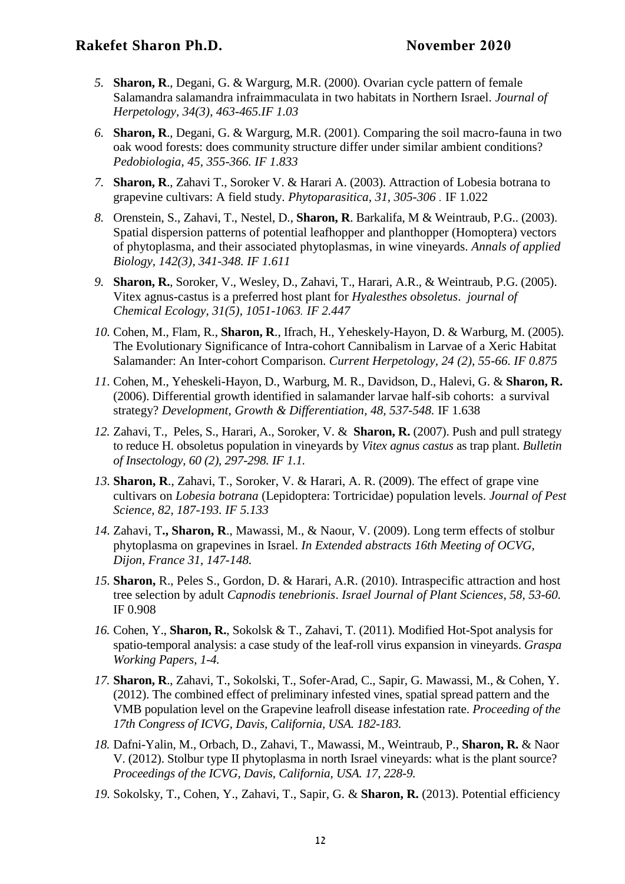- *5.* **Sharon, R**., Degani, G. & Wargurg, M.R. (2000). Ovarian cycle pattern of female Salamandra salamandra infraimmaculata in two habitats in Northern Israel. *Journal of Herpetology, 34(3), 463-465.IF 1.03*
- *6.* **Sharon, R**., Degani, G. & Wargurg, M.R. (2001). Comparing the soil macro-fauna in two oak wood forests: does community structure differ under similar ambient conditions? *Pedobiologia, 45, 355-366. IF 1.833*
- *7.* **Sharon, R**., Zahavi T., Soroker V. & Harari A. (2003). Attraction of Lobesia botrana to grapevine cultivars: A field study. *Phytoparasitica, 31, 305-306 .* IF 1.022
- *8.* Orenstein, S., Zahavi, T., Nestel, D., **Sharon, R**. Barkalifa, M & Weintraub, P.G.. (2003). Spatial dispersion patterns of potential leafhopper and planthopper (Homoptera) vectors of phytoplasma, and their associated phytoplasmas, in wine vineyards. *Annals of applied Biology, 142(3), 341-348. IF 1.611*
- *9.* **Sharon, R.**, Soroker, V., Wesley, D., Zahavi, T., Harari, A.R., & Weintraub, P.G. (2005). Vitex agnus-castus is a preferred host plant for *Hyalesthes obsoletus*. *journal of Chemical Ecology, 31(5), 1051-1063. IF 2.447*
- *10.* Cohen, M., Flam, R., **Sharon, R**., Ifrach, H., Yeheskely-Hayon, D. & Warburg, M. (2005). The Evolutionary Significance of Intra-cohort Cannibalism in Larvae of a Xeric Habitat Salamander: An Inter-cohort Comparison. *Current Herpetology, 24 (2), 55-66. IF 0.875*
- *11.* Cohen, M., Yeheskeli-Hayon, D., Warburg, M. R., Davidson, D., Halevi, G. & **Sharon, R.** (2006). Differential growth identified in salamander larvae half-sib cohorts: a survival strategy? *Development, Growth & Differentiation, 48, 537-548.* IF 1.638
- *12.* Zahavi, T., Peles, S., Harari, A., Soroker, V. & **Sharon, R.** (2007). Push and pull strategy to reduce H. obsoletus population in vineyards by *Vitex agnus castus* as trap plant. *Bulletin of Insectology, 60 (2), 297-298. IF 1.1.*
- *13.* **Sharon, R**., Zahavi, T., Soroker, V. & Harari, A. R. (2009). The effect of grape vine cultivars on *Lobesia botrana* (Lepidoptera: Tortricidae) population levels. *Journal of Pest Science, 82, 187-193. IF 5.133*
- *14.* Zahavi, T**., Sharon, R**., Mawassi, M., & Naour, V. (2009). Long term effects of stolbur phytoplasma on grapevines in Israel. *In Extended abstracts 16th Meeting of OCVG, Dijon, France 31, 147-148.*
- *15.* **Sharon,** R., Peles S., Gordon, D. & Harari, A.R. (2010). Intraspecific attraction and host tree selection by adult *Capnodis tenebrionis*. *Israel Journal of Plant Sciences, 58, 53-60.* IF 0.908
- *16.* Cohen, Y., **Sharon, R.**, Sokolsk & T., Zahavi, T. (2011). Modified Hot-Spot analysis for spatio-temporal analysis: a case study of the leaf-roll virus expansion in vineyards. *Graspa Working Papers, 1-4.*
- *17.* **Sharon, R**., Zahavi, T., Sokolski, T., Sofer-Arad, C., Sapir, G. Mawassi, M., & Cohen, Y. (2012). The combined effect of preliminary infested vines, spatial spread pattern and the VMB population level on the Grapevine leafroll disease infestation rate. *Proceeding of the 17th Congress of ICVG, Davis, California, USA. 182-183.*
- *18.* Dafni-Yalin, M., Orbach, D., Zahavi, T., Mawassi, M., Weintraub, P., **Sharon, R.** & Naor V. (2012). Stolbur type II phytoplasma in north Israel vineyards: what is the plant source? *Proceedings of the ICVG, Davis, California, USA. 17, 228-9.*
- *19.* Sokolsky, T., Cohen, Y., Zahavi, T., Sapir, G. & **Sharon, R.** (2013). Potential efficiency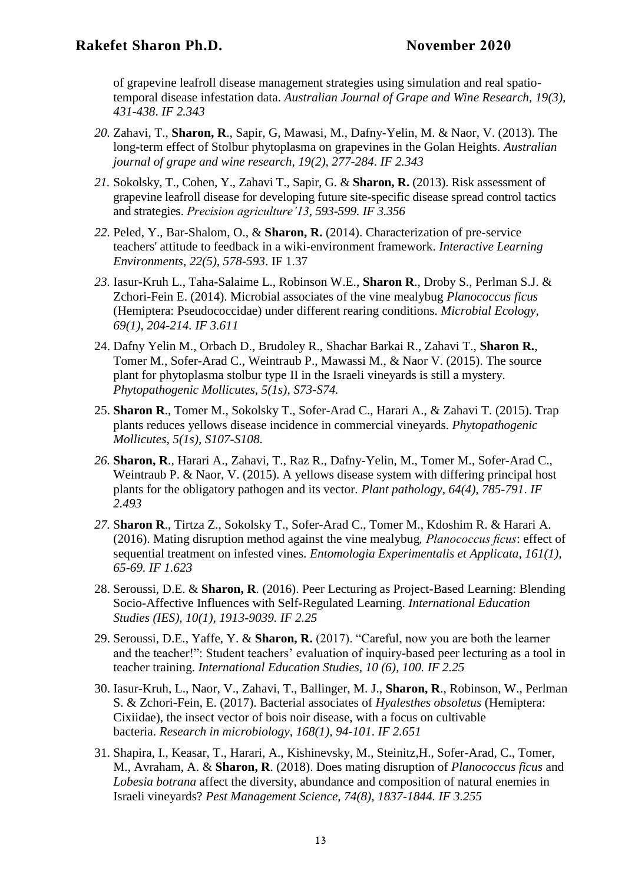of grapevine leafroll disease management strategies using simulation and real spatiotemporal disease infestation data. *Australian Journal of Grape and Wine Research, 19(3), 431-438*. *IF 2.343*

- *20.* Zahavi, T., **Sharon, R**., Sapir, G, Mawasi, M., Dafny-Yelin, M. & Naor, V. (2013). The long-term effect of Stolbur phytoplasma on grapevines in the Golan Heights. *Australian journal of grape and wine research, 19(2), 277-284*. *IF 2.343*
- *21.* Sokolsky, T., Cohen, Y., Zahavi T., Sapir, G. & **Sharon, R.** (2013). Risk assessment of grapevine leafroll disease for developing future site-specific disease spread control tactics and strategies. *Precision agriculture'13, 593-599. IF 3.356*
- *22.* Peled, Y., Bar-Shalom, O., & **Sharon, R.** (2014). Characterization of pre-service teachers' attitude to feedback in a wiki-environment framework. *Interactive Learning Environments*, *22(5), 578-593*. IF 1.37
- *23.* Iasur-Kruh L., Taha-Salaime L., Robinson W.E., **Sharon R**., Droby S., Perlman S.J. & Zchori-Fein E. (2014). Microbial associates of the vine mealybug *Planococcus ficus* (Hemiptera: Pseudococcidae) under different rearing conditions. *Microbial Ecology, 69(1), 204-214. IF 3.611*
- 24. Dafny Yelin M., Orbach D., Brudoley R., Shachar Barkai R., Zahavi T., **Sharon R.**, Tomer M., Sofer-Arad C., Weintraub P., Mawassi M., & Naor V. (2015). The source plant for phytoplasma stolbur type II in the Israeli vineyards is still a mystery. *Phytopathogenic Mollicutes, 5(1s), S73-S74.*
- 25. **Sharon R**., Tomer M., Sokolsky T., Sofer-Arad C., Harari A., & Zahavi T. (2015). Trap plants reduces yellows disease incidence in commercial vineyards. *Phytopathogenic Mollicutes*, *5(1s), S107-S108*.
- *26.* **Sharon, R**., Harari A., Zahavi, T., Raz R., Dafny-Yelin, M., Tomer M., Sofer-Arad C., Weintraub P. & Naor, V. (2015). A yellows disease system with differing principal host plants for the obligatory pathogen and its vector. *Plant pathology, 64(4), 785-791*. *IF 2.493*
- *27.* S**haron R**., Tirtza Z., Sokolsky T., Sofer-Arad C., Tomer M., Kdoshim R. & Harari A. (2016). Mating disruption method against the vine mealybug*, Planococcus ficus*: effect of sequential treatment on infested vines. *Entomologia Experimentalis et Applicata, 161(1), 65-69. IF 1.623*
- 28. Seroussi, D.E. & **Sharon, R**. (2016). Peer Lecturing as Project-Based Learning: Blending Socio-Affective Influences with Self-Regulated Learning. *International Education Studies (IES), 10(1), 1913-9039. IF 2.25*
- 29. Seroussi, D.E., Yaffe, Y. & **Sharon, R.** (2017). "Careful, now you are both the learner and the teacher!": Student teachers' evaluation of inquiry-based peer lecturing as a tool in teacher training. *International Education Studies, 10 (6), 100. IF 2.25*
- 30. Iasur-Kruh, L., Naor, V., Zahavi, T., Ballinger, M. J., **Sharon, R**., Robinson, W., Perlman S. & Zchori-Fein, E. (2017). Bacterial associates of *Hyalesthes obsoletus* (Hemiptera: Cixiidae), the insect vector of bois noir disease, with a focus on cultivable bacteria. *Research in microbiology, 168(1), 94-101*. *IF 2.651*
- 31. Shapira, I., Keasar, T., Harari, A., Kishinevsky, M., Steinitz,H., Sofer-Arad, C., Tomer, M., Avraham, A. & **Sharon, R**. (2018). Does mating disruption of *Planococcus ficus* and *Lobesia botrana* affect the diversity, abundance and composition of natural enemies in Israeli vineyards? *Pest Management Science, 74(8), 1837-1844. IF 3.255*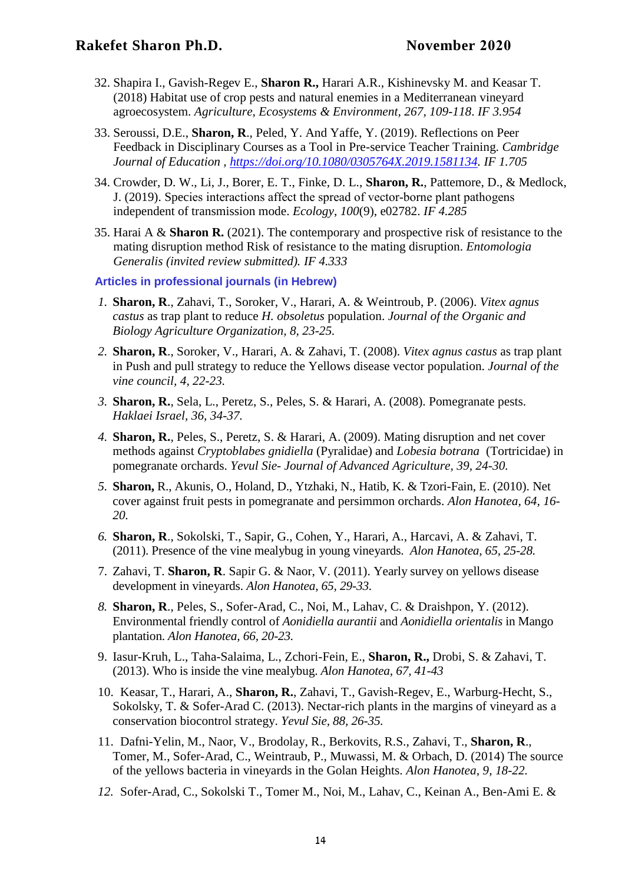- 32. Shapira I., Gavish-Regev E., **Sharon R.,** Harari A.R., Kishinevsky M. and Keasar T. (2018) Habitat use of crop pests and natural enemies in a Mediterranean vineyard agroecosystem. *Agriculture, Ecosystems & Environment, 267, 109-118*. *IF 3.954*
- 33. Seroussi, D.E., **Sharon, R**., Peled, Y. And Yaffe, Y. (2019). Reflections on Peer Feedback in Disciplinary Courses as a Tool in Pre-service Teacher Training. *Cambridge Journal of Education , [https://doi.org/10.1080/0305764X.2019.1581134.](https://doi.org/10.1080/0305764X.2019.1581134) IF 1.705*
- 34. Crowder, D. W., Li, J., Borer, E. T., Finke, D. L., **Sharon, R.**, Pattemore, D., & Medlock, J. (2019). Species interactions affect the spread of vector‐borne plant pathogens independent of transmission mode. *Ecology*, *100*(9), e02782. *IF 4.285*
- 35. Harai A & **Sharon R.** (2021). The contemporary and prospective risk of resistance to the mating disruption method Risk of resistance to the mating disruption. *Entomologia Generalis (invited review submitted). IF 4.333*

**Articles in professional journals (in Hebrew)**

- *1.* **Sharon, R**., Zahavi, T., Soroker, V., Harari, A. & Weintroub, P. (2006). *Vitex agnus castus* as trap plant to reduce *H. obsoletus* population. *Journal of the Organic and Biology Agriculture Organization, 8, 23-25.*
- *2.* **Sharon, R**., Soroker, V., Harari, A. & Zahavi, T. (2008). *Vitex agnus castus* as trap plant in Push and pull strategy to reduce the Yellows disease vector population. *Journal of the vine council, 4, 22-23.*
- *3.* **Sharon, R.**, Sela, L., Peretz, S., Peles, S. & Harari, A. (2008). Pomegranate pests. *Haklaei Israel, 36, 34-37.*
- *4.* **Sharon, R.**, Peles, S., Peretz, S. & Harari, A. (2009). Mating disruption and net cover methods against *Cryptoblabes gnidiella* (Pyralidae) and *Lobesia botrana* (Tortricidae) in pomegranate orchards. *Yevul Sie- Journal of Advanced Agriculture, 39, 24-30.*
- *5.* **Sharon,** R., Akunis, O., Holand, D., Ytzhaki, N., Hatib, K. & Tzori-Fain, E. (2010). Net cover against fruit pests in pomegranate and persimmon orchards. *Alon Hanotea, 64, 16- 20.*
- *6.* **Sharon, R**., Sokolski, T., Sapir, G., Cohen, Y., Harari, A., Harcavi, A. & Zahavi, T. (2011). Presence of the vine mealybug in young vineyards. *Alon Hanotea, 65, 25-28.*
- 7. Zahavi, T. **Sharon, R**. Sapir G. & Naor, V. (2011). Yearly survey on yellows disease development in vineyards. *Alon Hanotea, 65, 29-33.*
- *8.* **Sharon, R**., Peles, S., Sofer-Arad, C., Noi, M., Lahav, C. & Draishpon, Y. (2012). Environmental friendly control of *Aonidiella aurantii* and *Aonidiella orientalis* in Mango plantation. *Alon Hanotea, 66, 20-23.*
- 9. Iasur-Kruh, L., Taha-Salaima, L., Zchori-Fein, E., **Sharon, R.,** Drobi, S. & Zahavi, T. (2013). Who is inside the vine mealybug. *Alon Hanotea, 67, 41-43*
- 10. Keasar, T., Harari, A., **Sharon, R.**, Zahavi, T., Gavish-Regev, E., Warburg-Hecht, S., Sokolsky, T. & Sofer-Arad C. (2013). Nectar-rich plants in the margins of vineyard as a conservation biocontrol strategy. *Yevul Sie, 88, 26-35.*
- 11. Dafni-Yelin, M., Naor, V., Brodolay, R., Berkovits, R.S., Zahavi, T., **Sharon, R**., Tomer, M., Sofer-Arad, C., Weintraub, P., Muwassi, M. & Orbach, D. (2014) The source of the yellows bacteria in vineyards in the Golan Heights. *Alon Hanotea, 9, 18-22.*
- *12.* Sofer-Arad, C., Sokolski T., Tomer M., Noi, M., Lahav, C., Keinan A., Ben-Ami E. &